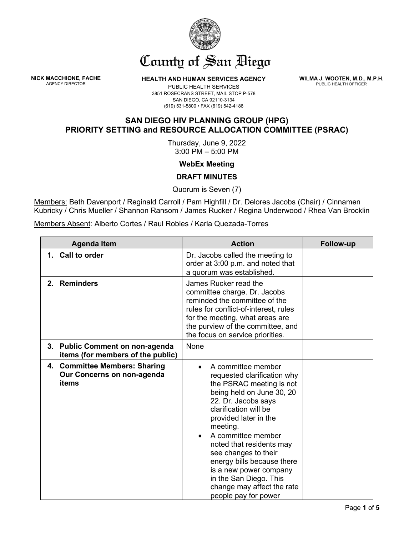

## County of San Biego

**NICK MACCHIONE, FACHE**

**HEALTH AND HUMAN SERVICES AGENCY** 

**WILMA J. WOOTEN, M.D., M.P.H.** PUBLIC HEALTH OFFICER

## PUBLIC HEALTH SERVICES 3851 ROSECRANS STREET, MAIL STOP P-578 SAN DIEGO, CA 92110-3134 (619) 531-5800 • FAX (619) 542-4186

## **SAN DIEGO HIV PLANNING GROUP (HPG) PRIORITY SETTING and RESOURCE ALLOCATION COMMITTEE (PSRAC)**

Thursday, June 9, 2022 3:00 PM – 5:00 PM

## **WebEx Meeting**

**DRAFT MINUTES**

Quorum is Seven (7)

Members: Beth Davenport / Reginald Carroll / Pam Highfill / Dr. Delores Jacobs (Chair) / Cinnamen Kubricky / Chris Mueller / Shannon Ransom / James Rucker / Regina Underwood / Rhea Van Brocklin

Members Absent: Alberto Cortes / Raul Robles / Karla Quezada-Torres

| <b>Agenda Item</b>                                                   |                                   | <b>Action</b>                                                                                                                                                                                                                                                                                                                                                                                                     | Follow-up |
|----------------------------------------------------------------------|-----------------------------------|-------------------------------------------------------------------------------------------------------------------------------------------------------------------------------------------------------------------------------------------------------------------------------------------------------------------------------------------------------------------------------------------------------------------|-----------|
| 1. Call to order                                                     |                                   | Dr. Jacobs called the meeting to<br>order at 3:00 p.m. and noted that<br>a quorum was established.                                                                                                                                                                                                                                                                                                                |           |
| 2. Reminders                                                         |                                   | James Rucker read the<br>committee charge. Dr. Jacobs<br>reminded the committee of the<br>rules for conflict-of-interest, rules<br>for the meeting, what areas are<br>the purview of the committee, and<br>the focus on service priorities.                                                                                                                                                                       |           |
| 3. Public Comment on non-agenda                                      | items (for members of the public) | None                                                                                                                                                                                                                                                                                                                                                                                                              |           |
| 4. Committee Members: Sharing<br>Our Concerns on non-agenda<br>items |                                   | A committee member<br>requested clarification why<br>the PSRAC meeting is not<br>being held on June 30, 20<br>22. Dr. Jacobs says<br>clarification will be<br>provided later in the<br>meeting.<br>A committee member<br>noted that residents may<br>see changes to their<br>energy bills because there<br>is a new power company<br>in the San Diego. This<br>change may affect the rate<br>people pay for power |           |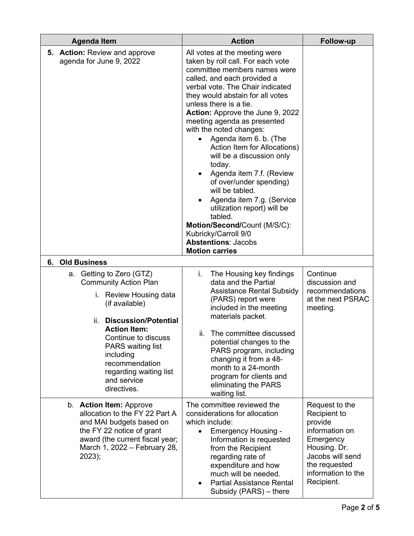|    | <b>Agenda Item</b>                                                                                                                                                                                                                                                                                                | <b>Action</b>                                                                                                                                                                                                                                                                                                                                                                                                                                                                                                                                                                                                                                                                                             | <b>Follow-up</b>                                                                                                                                                  |
|----|-------------------------------------------------------------------------------------------------------------------------------------------------------------------------------------------------------------------------------------------------------------------------------------------------------------------|-----------------------------------------------------------------------------------------------------------------------------------------------------------------------------------------------------------------------------------------------------------------------------------------------------------------------------------------------------------------------------------------------------------------------------------------------------------------------------------------------------------------------------------------------------------------------------------------------------------------------------------------------------------------------------------------------------------|-------------------------------------------------------------------------------------------------------------------------------------------------------------------|
|    | <b>5. Action: Review and approve</b><br>agenda for June 9, 2022                                                                                                                                                                                                                                                   | All votes at the meeting were<br>taken by roll call. For each vote<br>committee members names were<br>called, and each provided a<br>verbal vote. The Chair indicated<br>they would abstain for all votes<br>unless there is a tie.<br><b>Action:</b> Approve the June 9, 2022<br>meeting agenda as presented<br>with the noted changes:<br>Agenda item 6. b. (The<br>Action Item for Allocations)<br>will be a discussion only<br>today.<br>Agenda item 7.f. (Review<br>of over/under spending)<br>will be tabled.<br>Agenda item 7.g. (Service<br>utilization report) will be<br>tabled.<br>Motion/Second/Count (M/S/C):<br>Kubricky/Carroll 9/0<br><b>Abstentions: Jacobs</b><br><b>Motion carries</b> |                                                                                                                                                                   |
| 6. | <b>Old Business</b>                                                                                                                                                                                                                                                                                               |                                                                                                                                                                                                                                                                                                                                                                                                                                                                                                                                                                                                                                                                                                           |                                                                                                                                                                   |
|    | Getting to Zero (GTZ)<br>а.<br><b>Community Action Plan</b><br>i.<br>Review Housing data<br>(if available)<br><b>Discussion/Potential</b><br>ii.<br><b>Action Item:</b><br>Continue to discuss<br><b>PARS</b> waiting list<br>including<br>recommendation<br>regarding waiting list<br>and service<br>directives. | The Housing key findings<br>i.<br>data and the Partial<br><b>Assistance Rental Subsidy</b><br>(PARS) report were<br>included in the meeting<br>materials packet.<br>ii. The committee discussed<br>potential changes to the<br>PARS program, including<br>changing it from a 48-<br>month to a 24-month<br>program for clients and<br>eliminating the PARS<br>waiting list.                                                                                                                                                                                                                                                                                                                               | Continue<br>discussion and<br>recommendations<br>at the next PSRAC<br>meeting.                                                                                    |
|    | b. Action Item: Approve<br>allocation to the FY 22 Part A<br>and MAI budgets based on<br>the FY 22 notice of grant<br>award (the current fiscal year;<br>March 1, 2022 – February 28,<br>2023);                                                                                                                   | The committee reviewed the<br>considerations for allocation<br>which include:<br><b>Emergency Housing -</b><br>Information is requested<br>from the Recipient<br>regarding rate of<br>expenditure and how<br>much will be needed.<br><b>Partial Assistance Rental</b><br>Subsidy (PARS) - there                                                                                                                                                                                                                                                                                                                                                                                                           | Request to the<br>Recipient to<br>provide<br>information on<br>Emergency<br>Housing. Dr.<br>Jacobs will send<br>the requested<br>information to the<br>Recipient. |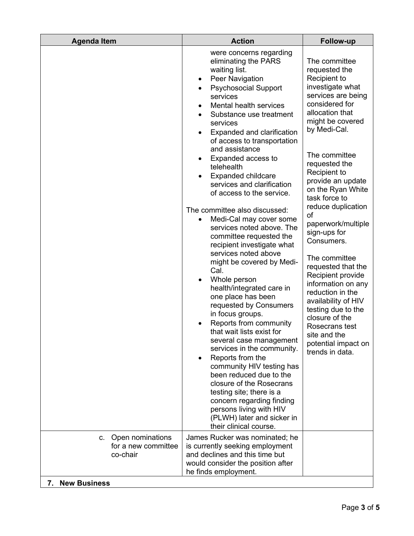| <b>Agenda Item</b>                                     | <b>Action</b>                                                                                                                                                                                                                                                                                                                                                                                                                                                                                                                                                                                                                                                                                                                                                                                                                                                                                                                                                                                                                                                                                                                            | <b>Follow-up</b>                                                                                                                                                                                                                                                                                                                                                                                                                                                                                                                                                                                                |
|--------------------------------------------------------|------------------------------------------------------------------------------------------------------------------------------------------------------------------------------------------------------------------------------------------------------------------------------------------------------------------------------------------------------------------------------------------------------------------------------------------------------------------------------------------------------------------------------------------------------------------------------------------------------------------------------------------------------------------------------------------------------------------------------------------------------------------------------------------------------------------------------------------------------------------------------------------------------------------------------------------------------------------------------------------------------------------------------------------------------------------------------------------------------------------------------------------|-----------------------------------------------------------------------------------------------------------------------------------------------------------------------------------------------------------------------------------------------------------------------------------------------------------------------------------------------------------------------------------------------------------------------------------------------------------------------------------------------------------------------------------------------------------------------------------------------------------------|
|                                                        | were concerns regarding<br>eliminating the PARS<br>waiting list.<br>Peer Navigation<br>$\bullet$<br><b>Psychosocial Support</b><br>services<br>Mental health services<br>Substance use treatment<br>services<br>Expanded and clarification<br>of access to transportation<br>and assistance<br>Expanded access to<br>telehealth<br><b>Expanded childcare</b><br>services and clarification<br>of access to the service.<br>The committee also discussed:<br>Medi-Cal may cover some<br>$\bullet$<br>services noted above. The<br>committee requested the<br>recipient investigate what<br>services noted above<br>might be covered by Medi-<br>Cal.<br>Whole person<br>health/integrated care in<br>one place has been<br>requested by Consumers<br>in focus groups.<br>Reports from community<br>that wait lists exist for<br>several case management<br>services in the community.<br>Reports from the<br>community HIV testing has<br>been reduced due to the<br>closure of the Rosecrans<br>testing site; there is a<br>concern regarding finding<br>persons living with HIV<br>(PLWH) later and sicker in<br>their clinical course. | The committee<br>requested the<br>Recipient to<br>investigate what<br>services are being<br>considered for<br>allocation that<br>might be covered<br>by Medi-Cal.<br>The committee<br>requested the<br>Recipient to<br>provide an update<br>on the Ryan White<br>task force to<br>reduce duplication<br>of<br>paperwork/multiple<br>sign-ups for<br>Consumers.<br>The committee<br>requested that the<br>Recipient provide<br>information on any<br>reduction in the<br>availability of HIV<br>testing due to the<br>closure of the<br>Rosecrans test<br>site and the<br>potential impact on<br>trends in data. |
| c. Open nominations<br>for a new committee<br>co-chair | James Rucker was nominated; he<br>is currently seeking employment<br>and declines and this time but<br>would consider the position after<br>he finds employment.                                                                                                                                                                                                                                                                                                                                                                                                                                                                                                                                                                                                                                                                                                                                                                                                                                                                                                                                                                         |                                                                                                                                                                                                                                                                                                                                                                                                                                                                                                                                                                                                                 |
| <b>New Business</b><br>7.                              |                                                                                                                                                                                                                                                                                                                                                                                                                                                                                                                                                                                                                                                                                                                                                                                                                                                                                                                                                                                                                                                                                                                                          |                                                                                                                                                                                                                                                                                                                                                                                                                                                                                                                                                                                                                 |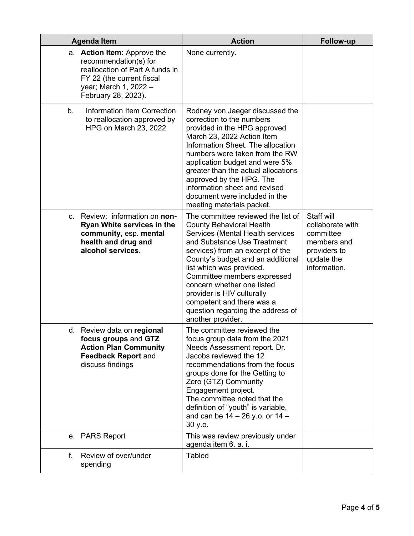| <b>Agenda Item</b>                                                                                                                                                   | <b>Action</b>                                                                                                                                                                                                                                                                                                                                                                                                                   | <b>Follow-up</b>                                                                                         |
|----------------------------------------------------------------------------------------------------------------------------------------------------------------------|---------------------------------------------------------------------------------------------------------------------------------------------------------------------------------------------------------------------------------------------------------------------------------------------------------------------------------------------------------------------------------------------------------------------------------|----------------------------------------------------------------------------------------------------------|
| a. Action Item: Approve the<br>recommendation(s) for<br>reallocation of Part A funds in<br>FY 22 (the current fiscal<br>year; March 1, 2022 -<br>February 28, 2023). | None currently.                                                                                                                                                                                                                                                                                                                                                                                                                 |                                                                                                          |
| $b_{1}$<br><b>Information Item Correction</b><br>to reallocation approved by<br><b>HPG on March 23, 2022</b>                                                         | Rodney von Jaeger discussed the<br>correction to the numbers<br>provided in the HPG approved<br>March 23, 2022 Action Item<br>Information Sheet. The allocation<br>numbers were taken from the RW<br>application budget and were 5%<br>greater than the actual allocations<br>approved by the HPG. The<br>information sheet and revised<br>document were included in the<br>meeting materials packet.                           |                                                                                                          |
| c. Review: information on non-<br><b>Ryan White services in the</b><br>community, esp. mental<br>health and drug and<br>alcohol services.                            | The committee reviewed the list of<br><b>County Behavioral Health</b><br>Services (Mental Health services<br>and Substance Use Treatment<br>services) from an excerpt of the<br>County's budget and an additional<br>list which was provided.<br>Committee members expressed<br>concern whether one listed<br>provider is HIV culturally<br>competent and there was a<br>question regarding the address of<br>another provider. | Staff will<br>collaborate with<br>committee<br>members and<br>providers to<br>update the<br>information. |
| d. Review data on regional<br>focus groups and GTZ<br><b>Action Plan Community</b><br><b>Feedback Report and</b><br>discuss findings                                 | The committee reviewed the<br>focus group data from the 2021<br>Needs Assessment report. Dr.<br>Jacobs reviewed the 12<br>recommendations from the focus<br>groups done for the Getting to<br>Zero (GTZ) Community<br>Engagement project.<br>The committee noted that the<br>definition of "youth" is variable,<br>and can be $14 - 26$ y.o. or $14 -$<br>30 y.o.                                                               |                                                                                                          |
| e. PARS Report                                                                                                                                                       | This was review previously under<br>agenda item 6. a. i.                                                                                                                                                                                                                                                                                                                                                                        |                                                                                                          |
| Review of over/under<br>f.<br>spending                                                                                                                               | <b>Tabled</b>                                                                                                                                                                                                                                                                                                                                                                                                                   |                                                                                                          |